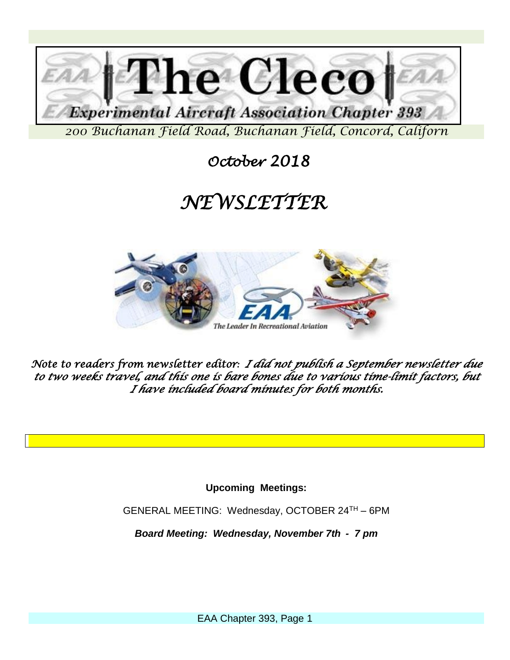

 *October 2018* 

## *NEWSLETTER*



*Note to readers from newsletter editor: I did not publish a September newsletter due to two weeks travel, and this one is bare bones due to various time-limit factors, but I have included board minutes for both months.*

**Upcoming Meetings:**

GENERAL MEETING: Wednesday, OCTOBER 24TH – 6PM

*Board Meeting: Wednesday, November 7th - 7 pm*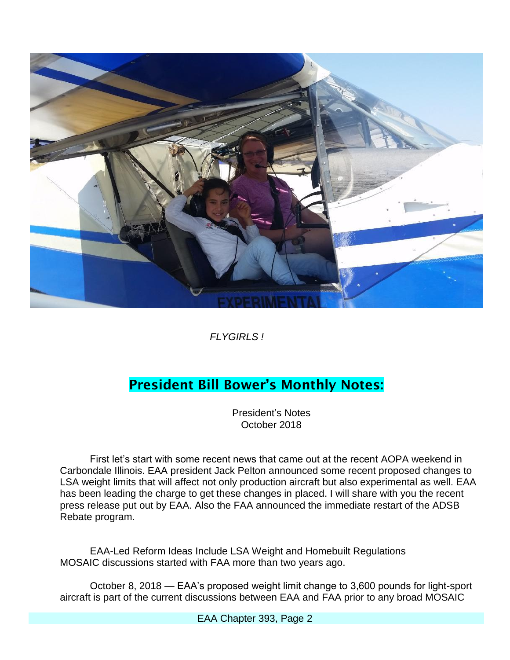

*FLYGIRLS !*

### **President Bill Bower's Monthly Notes:**

President's Notes October 2018

First let's start with some recent news that came out at the recent AOPA weekend in Carbondale Illinois. EAA president Jack Pelton announced some recent proposed changes to LSA weight limits that will affect not only production aircraft but also experimental as well. EAA has been leading the charge to get these changes in placed. I will share with you the recent press release put out by EAA. Also the FAA announced the immediate restart of the ADSB Rebate program.

EAA-Led Reform Ideas Include LSA Weight and Homebuilt Regulations MOSAIC discussions started with FAA more than two years ago.

October 8, 2018 — EAA's proposed weight limit change to 3,600 pounds for light-sport aircraft is part of the current discussions between EAA and FAA prior to any broad MOSAIC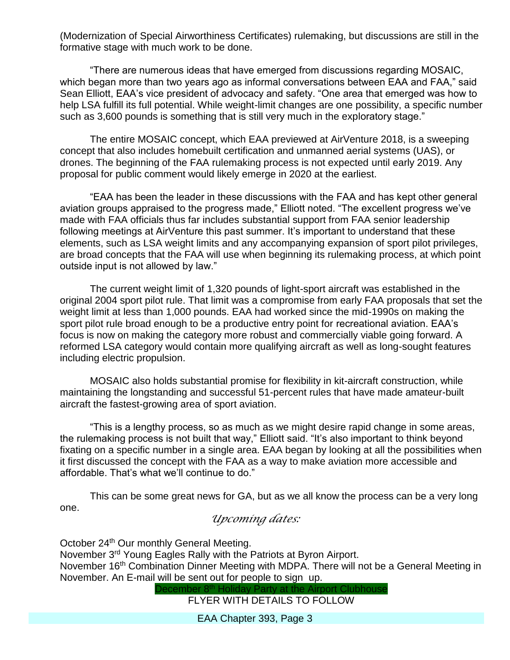(Modernization of Special Airworthiness Certificates) rulemaking, but discussions are still in the formative stage with much work to be done.

"There are numerous ideas that have emerged from discussions regarding MOSAIC, which began more than two years ago as informal conversations between EAA and FAA," said Sean Elliott, EAA's vice president of advocacy and safety. "One area that emerged was how to help LSA fulfill its full potential. While weight-limit changes are one possibility, a specific number such as 3,600 pounds is something that is still very much in the exploratory stage."

The entire MOSAIC concept, which EAA previewed at AirVenture 2018, is a sweeping concept that also includes homebuilt certification and unmanned aerial systems (UAS), or drones. The beginning of the FAA rulemaking process is not expected until early 2019. Any proposal for public comment would likely emerge in 2020 at the earliest.

"EAA has been the leader in these discussions with the FAA and has kept other general aviation groups appraised to the progress made," Elliott noted. "The excellent progress we've made with FAA officials thus far includes substantial support from FAA senior leadership following meetings at AirVenture this past summer. It's important to understand that these elements, such as LSA weight limits and any accompanying expansion of sport pilot privileges, are broad concepts that the FAA will use when beginning its rulemaking process, at which point outside input is not allowed by law."

The current weight limit of 1,320 pounds of light-sport aircraft was established in the original 2004 sport pilot rule. That limit was a compromise from early FAA proposals that set the weight limit at less than 1,000 pounds. EAA had worked since the mid-1990s on making the sport pilot rule broad enough to be a productive entry point for recreational aviation. EAA's focus is now on making the category more robust and commercially viable going forward. A reformed LSA category would contain more qualifying aircraft as well as long-sought features including electric propulsion.

MOSAIC also holds substantial promise for flexibility in kit-aircraft construction, while maintaining the longstanding and successful 51-percent rules that have made amateur-built aircraft the fastest-growing area of sport aviation.

"This is a lengthy process, so as much as we might desire rapid change in some areas, the rulemaking process is not built that way," Elliott said. "It's also important to think beyond fixating on a specific number in a single area. EAA began by looking at all the possibilities when it first discussed the concept with the FAA as a way to make aviation more accessible and affordable. That's what we'll continue to do."

This can be some great news for GA, but as we all know the process can be a very long one.

### *Upcoming dates:*

October 24<sup>th</sup> Our monthly General Meeting. November 3rd Young Eagles Rally with the Patriots at Byron Airport. November 16<sup>th</sup> Combination Dinner Meeting with MDPA. There will not be a General Meeting in November. An E-mail will be sent out for people to sign up. December 8<sup>th</sup> Holiday Party at the Airport Clubhouse

FLYER WITH DETAILS TO FOLLOW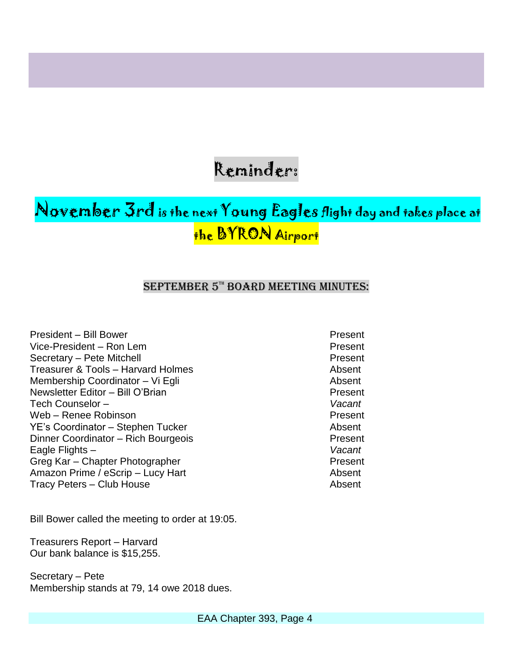## Reminder:

## November 3rd is the next Young Eagles flight day and takes place at the BYRON Airport

#### SEPTEMBER 5TH BOARD MEETING MINUTES:

President – Bill Bower **Present** Present Vice-President – Ron Lem Present Secretary – Pete Mitchell **Present** Treasurer & Tools – Harvard Holmes Absent Membership Coordinator – Vi Egli Absent Newsletter Editor – Bill O'Brian Present Tech Counselor – *Vacant* Web – Renee Robinson **Present** YE's Coordinator – Stephen Tucker Absent Dinner Coordinator – Rich Bourgeois **Present** Eagle Flights – *Vacant* Greg Kar – Chapter Photographer Present Amazon Prime / eScrip – Lucy Hart Absent Tracy Peters – Club House **Absent** 

Bill Bower called the meeting to order at 19:05.

Treasurers Report – Harvard Our bank balance is \$15,255.

Secretary – Pete Membership stands at 79, 14 owe 2018 dues.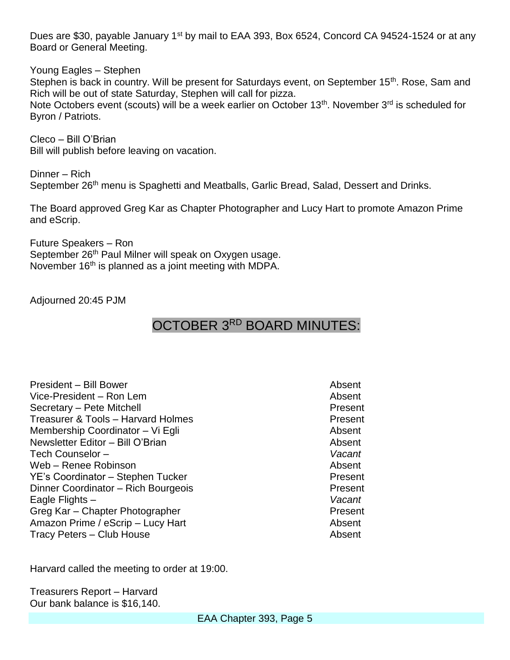Dues are \$30, payable January 1<sup>st</sup> by mail to EAA 393, Box 6524, Concord CA 94524-1524 or at any Board or General Meeting.

Young Eagles – Stephen

Stephen is back in country. Will be present for Saturdays event, on September 15<sup>th</sup>. Rose, Sam and Rich will be out of state Saturday, Stephen will call for pizza.

Note Octobers event (scouts) will be a week earlier on October 13<sup>th</sup>. November 3<sup>rd</sup> is scheduled for Byron / Patriots.

Cleco – Bill O'Brian Bill will publish before leaving on vacation.

Dinner – Rich September 26<sup>th</sup> menu is Spaghetti and Meatballs, Garlic Bread, Salad, Dessert and Drinks.

The Board approved Greg Kar as Chapter Photographer and Lucy Hart to promote Amazon Prime and eScrip.

Future Speakers – Ron September 26<sup>th</sup> Paul Milner will speak on Oxygen usage. November 16<sup>th</sup> is planned as a joint meeting with MDPA.

Adjourned 20:45 PJM

### OCTOBER 3RD BOARD MINUTES:

| <b>President - Bill Bower</b>       | Absent  |
|-------------------------------------|---------|
| Vice-President – Ron Lem            | Absent  |
| Secretary - Pete Mitchell           | Present |
| Treasurer & Tools - Harvard Holmes  | Present |
| Membership Coordinator - Vi Egli    | Absent  |
| Newsletter Editor - Bill O'Brian    | Absent  |
| Tech Counselor -                    | Vacant  |
| Web - Renee Robinson                | Absent  |
| YE's Coordinator - Stephen Tucker   | Present |
| Dinner Coordinator - Rich Bourgeois | Present |
| Eagle Flights -                     | Vacant  |
| Greg Kar - Chapter Photographer     | Present |
| Amazon Prime / eScrip - Lucy Hart   | Absent  |
| Tracy Peters - Club House           | Absent  |
|                                     |         |

Harvard called the meeting to order at 19:00.

Treasurers Report – Harvard Our bank balance is \$16,140.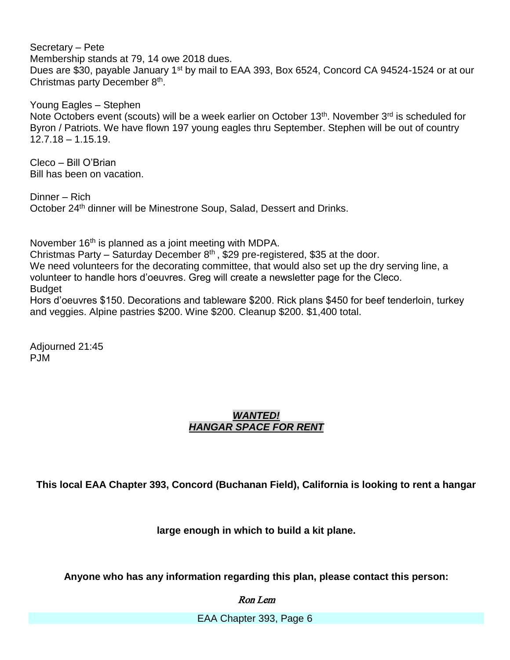Secretary – Pete Membership stands at 79, 14 owe 2018 dues. Dues are \$30, payable January 1<sup>st</sup> by mail to EAA 393, Box 6524, Concord CA 94524-1524 or at our Christmas party December 8<sup>th</sup>.

Young Eagles – Stephen Note Octobers event (scouts) will be a week earlier on October 13<sup>th</sup>. November 3<sup>rd</sup> is scheduled for Byron / Patriots. We have flown 197 young eagles thru September. Stephen will be out of country 12.7.18 – 1.15.19.

Cleco – Bill O'Brian Bill has been on vacation.

Dinner – Rich October 24<sup>th</sup> dinner will be Minestrone Soup, Salad, Dessert and Drinks.

and veggies. Alpine pastries \$200. Wine \$200. Cleanup \$200. \$1,400 total.

November 16<sup>th</sup> is planned as a joint meeting with MDPA. Christmas Party – Saturday December  $8<sup>th</sup>$ , \$29 pre-registered, \$35 at the door. We need volunteers for the decorating committee, that would also set up the dry serving line, a volunteer to handle hors d'oeuvres. Greg will create a newsletter page for the Cleco. Budget Hors d'oeuvres \$150. Decorations and tableware \$200. Rick plans \$450 for beef tenderloin, turkey

Adjourned 21:45

PJM

#### *WANTED! HANGAR SPACE FOR RENT*

**This local EAA Chapter 393, Concord (Buchanan Field), California is looking to rent a hangar** 

**large enough in which to build a kit plane.**

**Anyone who has any information regarding this plan, please contact this person:**

Ron Lem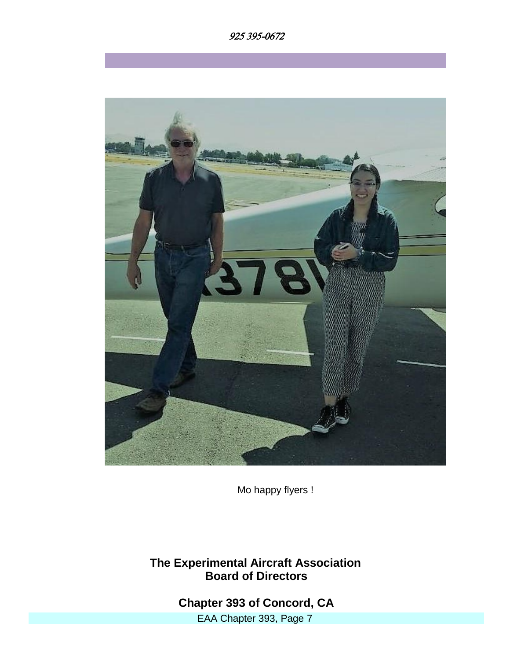



Mo happy flyers !

**The Experimental Aircraft Association Board of Directors**

> EAA Chapter 393, Page 7 **Chapter 393 of Concord, CA**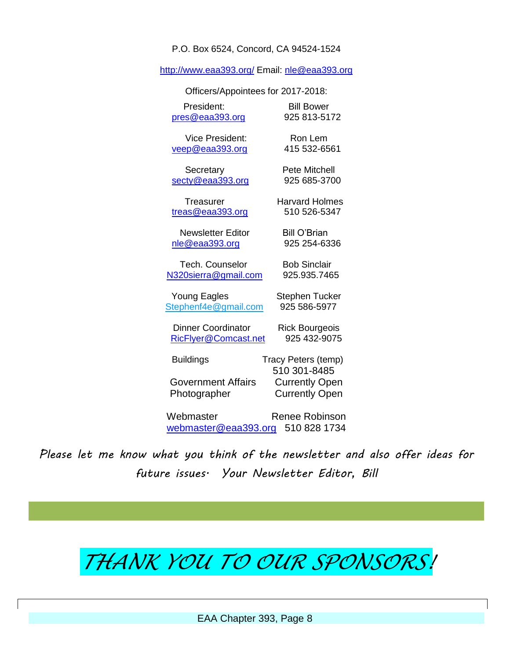P.O. Box 6524, Concord, CA 94524-1524

<http://www.eaa393.org/> Email: [nle@eaa393.org](mailto:nle@eaa393.org)

| Officers/Appointees for 2017-2018:        |                                                                |
|-------------------------------------------|----------------------------------------------------------------|
| President:                                | <b>Bill Bower</b>                                              |
| pres@eaa393.org                           | 925 813-5172                                                   |
| <b>Vice President:</b>                    | Ron Lem                                                        |
| veep@eaa393.org                           | 415 532-6561                                                   |
| Secretary                                 | <b>Pete Mitchell</b>                                           |
| secty@eaa393.org                          | 925 685-3700                                                   |
| Treasurer                                 | <b>Harvard Holmes</b>                                          |
| treas@eaa393.org                          | 510 526-5347                                                   |
| <b>Newsletter Editor</b>                  | <b>Bill O'Brian</b>                                            |
| nle@eaa393.org                            | 925 254-6336                                                   |
| <b>Tech. Counselor</b>                    | <b>Bob Sinclair</b>                                            |
| N320sierra@gmail.com                      | 925.935.7465                                                   |
| <b>Young Eagles</b>                       | Stephen Tucker                                                 |
| Stephenf4e@gmail.com                      | 925 586-5977                                                   |
| <b>Dinner Coordinator</b>                 | <b>Rick Bourgeois</b>                                          |
| RicFlyer@Comcast.net                      | 925 432-9075                                                   |
| <b>Buildings</b>                          | Tracy Peters (temp)                                            |
| <b>Government Affairs</b><br>Photographer | 510 301-8485<br><b>Currently Open</b><br><b>Currently Open</b> |
| Webmaster                                 | Renee Robinson                                                 |
| webmaster@eaa393.org                      | 510 828 1734                                                   |

*Please let me know what you think of the newsletter and also offer ideas for future issues. Your Newsletter Editor, Bill*

# *THANK YOU TO OUR SPONSORS!*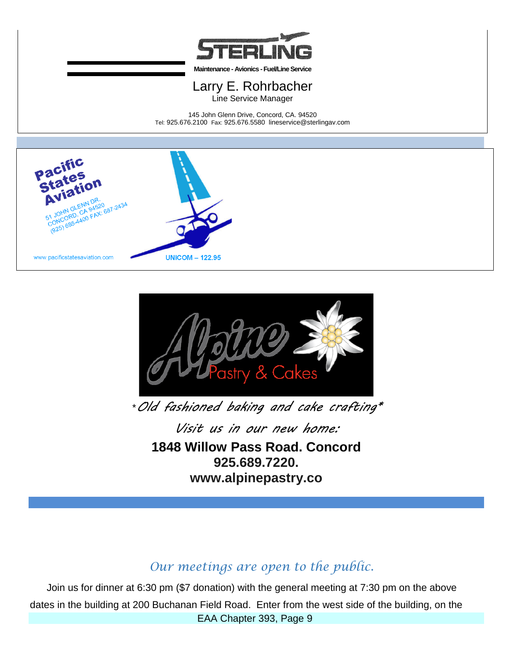

**Maintenance - Avionics -Fuel/Line Service**

#### Larry E. Rohrbacher Line Service Manager

145 John Glenn Drive, Concord, CA. 94520 Tel: 925.676.2100 Fax: 925.676.5580 lineservice@sterlingav.com





\**Old fashioned baking and cake crafting\**

*Visit us in our new home:* **1848 Willow Pass Road. Concord 925.689.7220. www.alpinepastry.co**

### *Our meetings are open to the public.*

EAA Chapter 393, Page 9 Join us for dinner at 6:30 pm (\$7 donation) with the general meeting at 7:30 pm on the above dates in the building at 200 Buchanan Field Road. Enter from the west side of the building, on the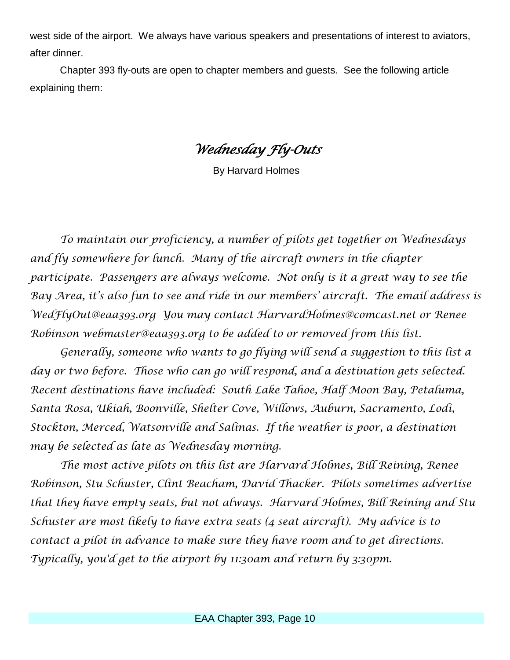west side of the airport. We always have various speakers and presentations of interest to aviators, after dinner.

 Chapter 393 fly-outs are open to chapter members and guests. See the following article explaining them:

*Wednesday Fly-Outs* 

By Harvard Holmes

*To maintain our proficiency, a number of pilots get together on Wednesdays and fly somewhere for lunch. Many of the aircraft owners in the chapter participate. Passengers are always welcome. Not only is it a great way to see the Bay Area, it's also fun to see and ride in our members' aircraft. The email address is WedFlyOut@eaa393.org You may contact HarvardHolmes@comcast.net or Renee Robinson webmaster@eaa393.org to be added to or removed from this list.* 

*Generally, someone who wants to go flying will send a suggestion to this list a day or two before. Those who can go will respond, and a destination gets selected. Recent destinations have included: South Lake Tahoe, Half Moon Bay, Petaluma, Santa Rosa, Ukiah, Boonville, Shelter Cove, Willows, Auburn, Sacramento, Lodi, Stockton, Merced, Watsonville and Salinas. If the weather is poor, a destination may be selected as late as Wednesday morning.* 

*The most active pilots on this list are Harvard Holmes, Bill Reining, Renee Robinson, Stu Schuster, Clint Beacham, David Thacker. Pilots sometimes advertise that they have empty seats, but not always. Harvard Holmes, Bill Reining and Stu Schuster are most likely to have extra seats (4 seat aircraft). My advice is to contact a pilot in advance to make sure they have room and to get directions. Typically, you'd get to the airport by 11:30am and return by 3:30pm.*